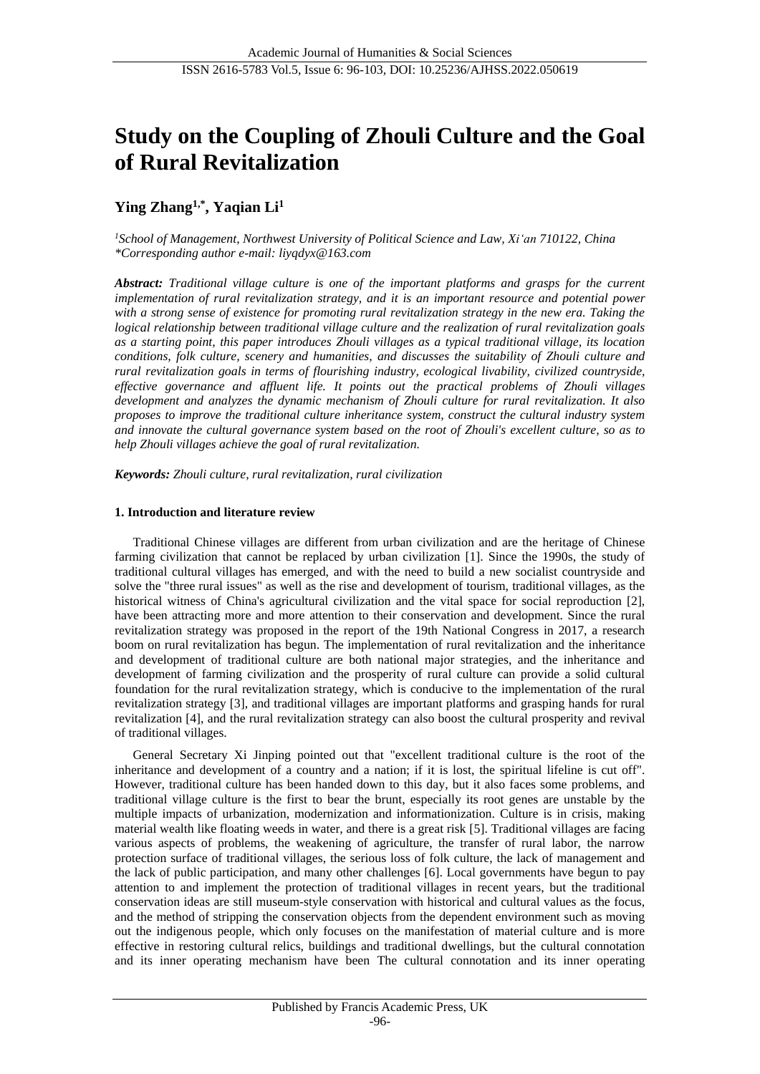# **Study on the Coupling of Zhouli Culture and the Goal of Rural Revitalization**

## **Ying Zhang1,\* , Yaqian Li<sup>1</sup>**

*<sup>1</sup>School of Management, Northwest University of Political Science and Law, Xi'an 710122, China \*Corresponding author e-mail: liyqdyx@163.com*

*Abstract: Traditional village culture is one of the important platforms and grasps for the current implementation of rural revitalization strategy, and it is an important resource and potential power with a strong sense of existence for promoting rural revitalization strategy in the new era. Taking the logical relationship between traditional village culture and the realization of rural revitalization goals as a starting point, this paper introduces Zhouli villages as a typical traditional village, its location conditions, folk culture, scenery and humanities, and discusses the suitability of Zhouli culture and rural revitalization goals in terms of flourishing industry, ecological livability, civilized countryside, effective governance and affluent life. It points out the practical problems of Zhouli villages development and analyzes the dynamic mechanism of Zhouli culture for rural revitalization. It also proposes to improve the traditional culture inheritance system, construct the cultural industry system and innovate the cultural governance system based on the root of Zhouli's excellent culture, so as to help Zhouli villages achieve the goal of rural revitalization.*

*Keywords: Zhouli culture, rural revitalization, rural civilization*

### **1. Introduction and literature review**

Traditional Chinese villages are different from urban civilization and are the heritage of Chinese farming civilization that cannot be replaced by urban civilization [1]. Since the 1990s, the study of traditional cultural villages has emerged, and with the need to build a new socialist countryside and solve the "three rural issues" as well as the rise and development of tourism, traditional villages, as the historical witness of China's agricultural civilization and the vital space for social reproduction [2], have been attracting more and more attention to their conservation and development. Since the rural revitalization strategy was proposed in the report of the 19th National Congress in 2017, a research boom on rural revitalization has begun. The implementation of rural revitalization and the inheritance and development of traditional culture are both national major strategies, and the inheritance and development of farming civilization and the prosperity of rural culture can provide a solid cultural foundation for the rural revitalization strategy, which is conducive to the implementation of the rural revitalization strategy [3], and traditional villages are important platforms and grasping hands for rural revitalization [4], and the rural revitalization strategy can also boost the cultural prosperity and revival of traditional villages.

General Secretary Xi Jinping pointed out that "excellent traditional culture is the root of the inheritance and development of a country and a nation; if it is lost, the spiritual lifeline is cut off". However, traditional culture has been handed down to this day, but it also faces some problems, and traditional village culture is the first to bear the brunt, especially its root genes are unstable by the multiple impacts of urbanization, modernization and informationization. Culture is in crisis, making material wealth like floating weeds in water, and there is a great risk [5]. Traditional villages are facing various aspects of problems, the weakening of agriculture, the transfer of rural labor, the narrow protection surface of traditional villages, the serious loss of folk culture, the lack of management and the lack of public participation, and many other challenges [6]. Local governments have begun to pay attention to and implement the protection of traditional villages in recent years, but the traditional conservation ideas are still museum-style conservation with historical and cultural values as the focus, and the method of stripping the conservation objects from the dependent environment such as moving out the indigenous people, which only focuses on the manifestation of material culture and is more effective in restoring cultural relics, buildings and traditional dwellings, but the cultural connotation and its inner operating mechanism have been The cultural connotation and its inner operating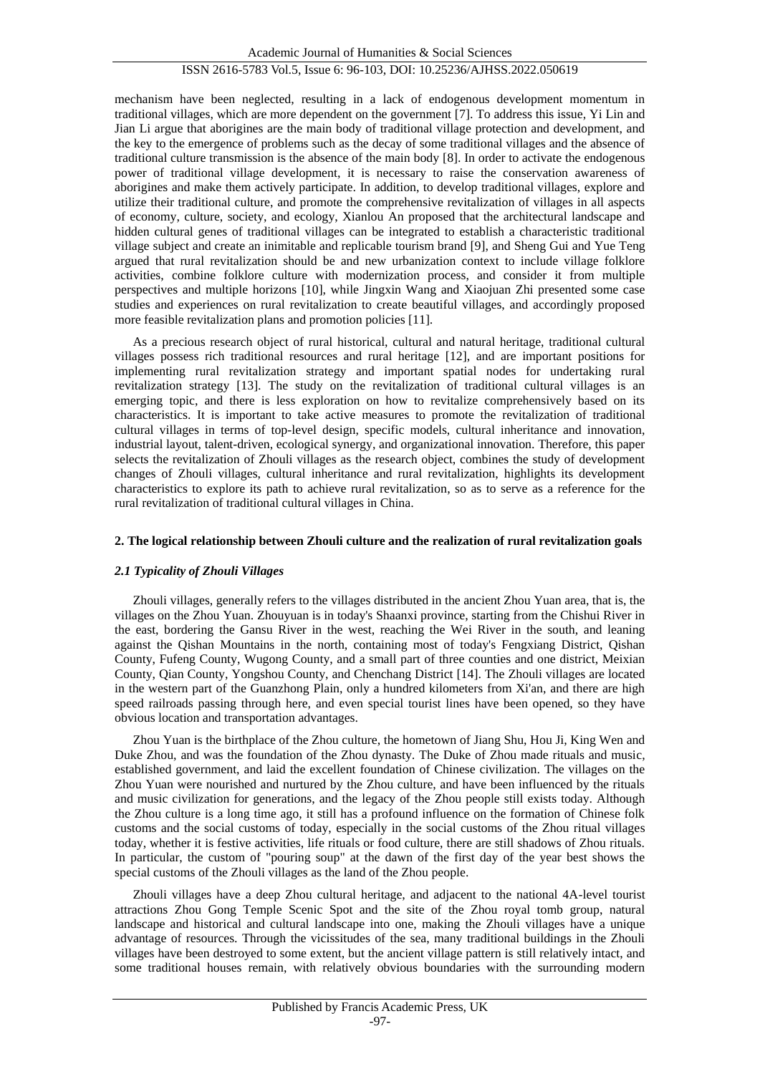mechanism have been neglected, resulting in a lack of endogenous development momentum in traditional villages, which are more dependent on the government [7]. To address this issue, Yi Lin and Jian Li argue that aborigines are the main body of traditional village protection and development, and the key to the emergence of problems such as the decay of some traditional villages and the absence of traditional culture transmission is the absence of the main body [8]. In order to activate the endogenous power of traditional village development, it is necessary to raise the conservation awareness of aborigines and make them actively participate. In addition, to develop traditional villages, explore and utilize their traditional culture, and promote the comprehensive revitalization of villages in all aspects of economy, culture, society, and ecology, Xianlou An proposed that the architectural landscape and hidden cultural genes of traditional villages can be integrated to establish a characteristic traditional village subject and create an inimitable and replicable tourism brand [9], and Sheng Gui and Yue Teng argued that rural revitalization should be and new urbanization context to include village folklore activities, combine folklore culture with modernization process, and consider it from multiple perspectives and multiple horizons [10], while Jingxin Wang and Xiaojuan Zhi presented some case studies and experiences on rural revitalization to create beautiful villages, and accordingly proposed more feasible revitalization plans and promotion policies [11].

As a precious research object of rural historical, cultural and natural heritage, traditional cultural villages possess rich traditional resources and rural heritage [12], and are important positions for implementing rural revitalization strategy and important spatial nodes for undertaking rural revitalization strategy [13]. The study on the revitalization of traditional cultural villages is an emerging topic, and there is less exploration on how to revitalize comprehensively based on its characteristics. It is important to take active measures to promote the revitalization of traditional cultural villages in terms of top-level design, specific models, cultural inheritance and innovation, industrial layout, talent-driven, ecological synergy, and organizational innovation. Therefore, this paper selects the revitalization of Zhouli villages as the research object, combines the study of development changes of Zhouli villages, cultural inheritance and rural revitalization, highlights its development characteristics to explore its path to achieve rural revitalization, so as to serve as a reference for the rural revitalization of traditional cultural villages in China.

### **2. The logical relationship between Zhouli culture and the realization of rural revitalization goals**

### *2.1 Typicality of Zhouli Villages*

Zhouli villages, generally refers to the villages distributed in the ancient Zhou Yuan area, that is, the villages on the Zhou Yuan. Zhouyuan is in today's Shaanxi province, starting from the Chishui River in the east, bordering the Gansu River in the west, reaching the Wei River in the south, and leaning against the Qishan Mountains in the north, containing most of today's Fengxiang District, Qishan County, Fufeng County, Wugong County, and a small part of three counties and one district, Meixian County, Qian County, Yongshou County, and Chenchang District [14]. The Zhouli villages are located in the western part of the Guanzhong Plain, only a hundred kilometers from Xi'an, and there are high speed railroads passing through here, and even special tourist lines have been opened, so they have obvious location and transportation advantages.

Zhou Yuan is the birthplace of the Zhou culture, the hometown of Jiang Shu, Hou Ji, King Wen and Duke Zhou, and was the foundation of the Zhou dynasty. The Duke of Zhou made rituals and music, established government, and laid the excellent foundation of Chinese civilization. The villages on the Zhou Yuan were nourished and nurtured by the Zhou culture, and have been influenced by the rituals and music civilization for generations, and the legacy of the Zhou people still exists today. Although the Zhou culture is a long time ago, it still has a profound influence on the formation of Chinese folk customs and the social customs of today, especially in the social customs of the Zhou ritual villages today, whether it is festive activities, life rituals or food culture, there are still shadows of Zhou rituals. In particular, the custom of "pouring soup" at the dawn of the first day of the year best shows the special customs of the Zhouli villages as the land of the Zhou people.

Zhouli villages have a deep Zhou cultural heritage, and adjacent to the national 4A-level tourist attractions Zhou Gong Temple Scenic Spot and the site of the Zhou royal tomb group, natural landscape and historical and cultural landscape into one, making the Zhouli villages have a unique advantage of resources. Through the vicissitudes of the sea, many traditional buildings in the Zhouli villages have been destroyed to some extent, but the ancient village pattern is still relatively intact, and some traditional houses remain, with relatively obvious boundaries with the surrounding modern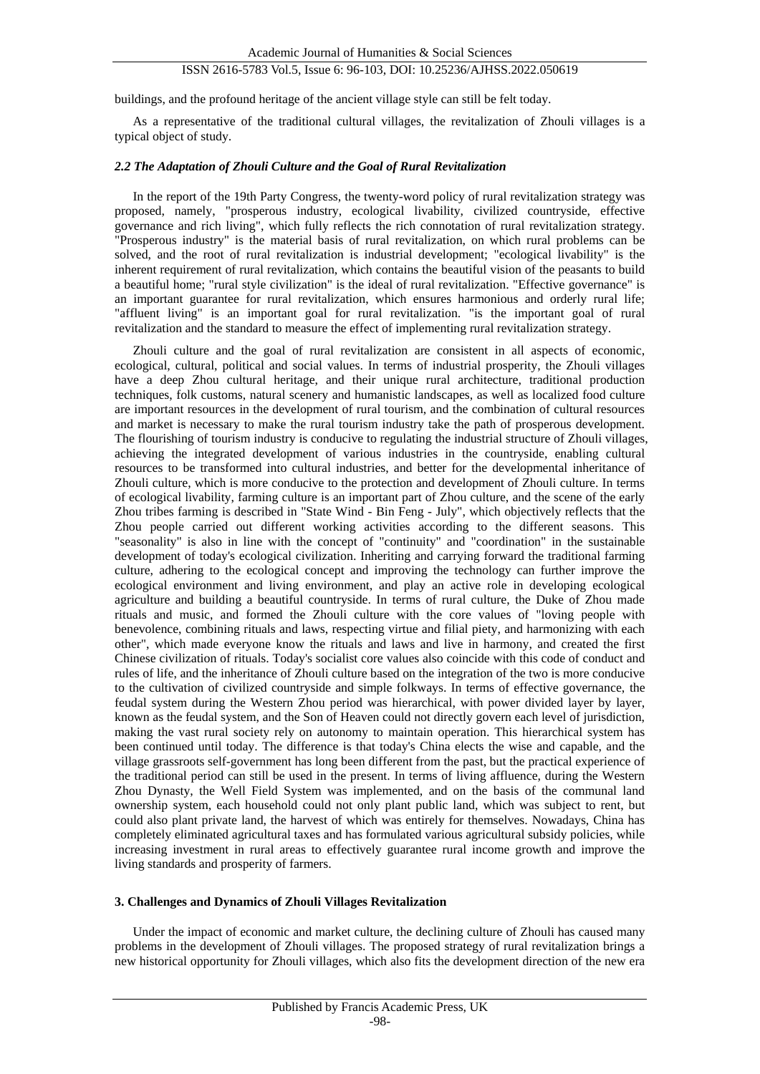buildings, and the profound heritage of the ancient village style can still be felt today.

As a representative of the traditional cultural villages, the revitalization of Zhouli villages is a typical object of study.

### *2.2 The Adaptation of Zhouli Culture and the Goal of Rural Revitalization*

In the report of the 19th Party Congress, the twenty-word policy of rural revitalization strategy was proposed, namely, "prosperous industry, ecological livability, civilized countryside, effective governance and rich living", which fully reflects the rich connotation of rural revitalization strategy. "Prosperous industry" is the material basis of rural revitalization, on which rural problems can be solved, and the root of rural revitalization is industrial development; "ecological livability" is the inherent requirement of rural revitalization, which contains the beautiful vision of the peasants to build a beautiful home; "rural style civilization" is the ideal of rural revitalization. "Effective governance" is an important guarantee for rural revitalization, which ensures harmonious and orderly rural life; "affluent living" is an important goal for rural revitalization. "is the important goal of rural revitalization and the standard to measure the effect of implementing rural revitalization strategy.

Zhouli culture and the goal of rural revitalization are consistent in all aspects of economic, ecological, cultural, political and social values. In terms of industrial prosperity, the Zhouli villages have a deep Zhou cultural heritage, and their unique rural architecture, traditional production techniques, folk customs, natural scenery and humanistic landscapes, as well as localized food culture are important resources in the development of rural tourism, and the combination of cultural resources and market is necessary to make the rural tourism industry take the path of prosperous development. The flourishing of tourism industry is conducive to regulating the industrial structure of Zhouli villages, achieving the integrated development of various industries in the countryside, enabling cultural resources to be transformed into cultural industries, and better for the developmental inheritance of Zhouli culture, which is more conducive to the protection and development of Zhouli culture. In terms of ecological livability, farming culture is an important part of Zhou culture, and the scene of the early Zhou tribes farming is described in "State Wind - Bin Feng - July", which objectively reflects that the Zhou people carried out different working activities according to the different seasons. This "seasonality" is also in line with the concept of "continuity" and "coordination" in the sustainable development of today's ecological civilization. Inheriting and carrying forward the traditional farming culture, adhering to the ecological concept and improving the technology can further improve the ecological environment and living environment, and play an active role in developing ecological agriculture and building a beautiful countryside. In terms of rural culture, the Duke of Zhou made rituals and music, and formed the Zhouli culture with the core values of "loving people with benevolence, combining rituals and laws, respecting virtue and filial piety, and harmonizing with each other", which made everyone know the rituals and laws and live in harmony, and created the first Chinese civilization of rituals. Today's socialist core values also coincide with this code of conduct and rules of life, and the inheritance of Zhouli culture based on the integration of the two is more conducive to the cultivation of civilized countryside and simple folkways. In terms of effective governance, the feudal system during the Western Zhou period was hierarchical, with power divided layer by layer, known as the feudal system, and the Son of Heaven could not directly govern each level of jurisdiction, making the vast rural society rely on autonomy to maintain operation. This hierarchical system has been continued until today. The difference is that today's China elects the wise and capable, and the village grassroots self-government has long been different from the past, but the practical experience of the traditional period can still be used in the present. In terms of living affluence, during the Western Zhou Dynasty, the Well Field System was implemented, and on the basis of the communal land ownership system, each household could not only plant public land, which was subject to rent, but could also plant private land, the harvest of which was entirely for themselves. Nowadays, China has completely eliminated agricultural taxes and has formulated various agricultural subsidy policies, while increasing investment in rural areas to effectively guarantee rural income growth and improve the living standards and prosperity of farmers.

### **3. Challenges and Dynamics of Zhouli Villages Revitalization**

Under the impact of economic and market culture, the declining culture of Zhouli has caused many problems in the development of Zhouli villages. The proposed strategy of rural revitalization brings a new historical opportunity for Zhouli villages, which also fits the development direction of the new era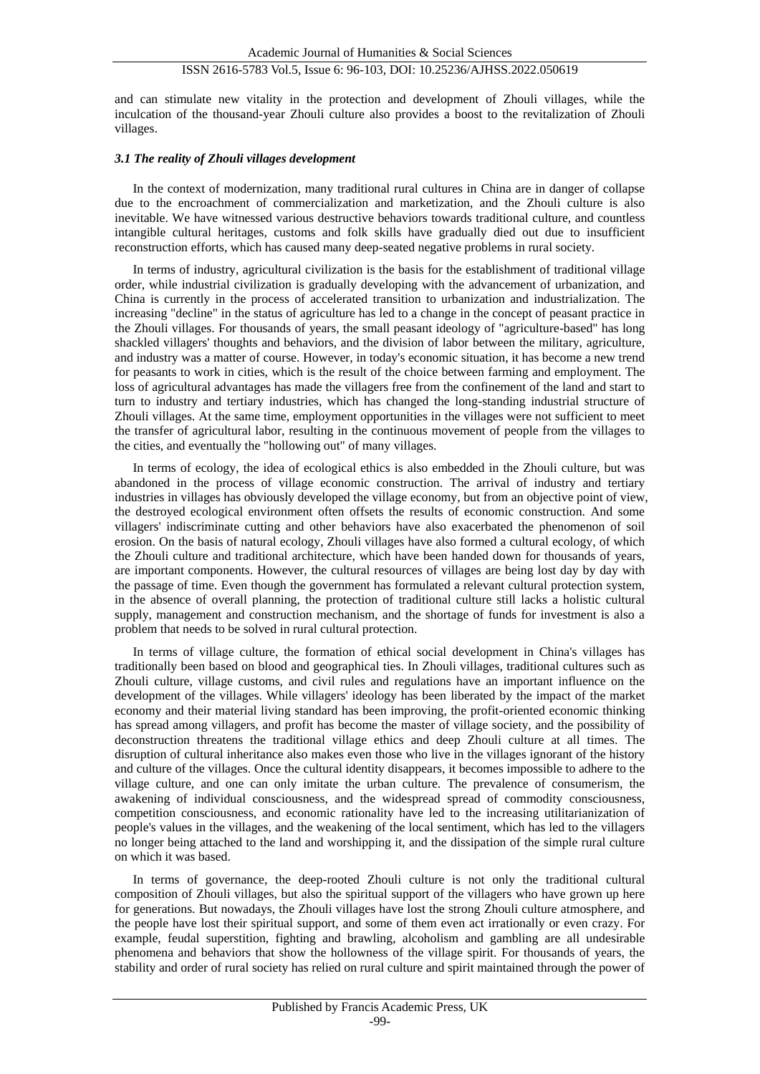and can stimulate new vitality in the protection and development of Zhouli villages, while the inculcation of the thousand-year Zhouli culture also provides a boost to the revitalization of Zhouli villages.

### *3.1 The reality of Zhouli villages development*

In the context of modernization, many traditional rural cultures in China are in danger of collapse due to the encroachment of commercialization and marketization, and the Zhouli culture is also inevitable. We have witnessed various destructive behaviors towards traditional culture, and countless intangible cultural heritages, customs and folk skills have gradually died out due to insufficient reconstruction efforts, which has caused many deep-seated negative problems in rural society.

In terms of industry, agricultural civilization is the basis for the establishment of traditional village order, while industrial civilization is gradually developing with the advancement of urbanization, and China is currently in the process of accelerated transition to urbanization and industrialization. The increasing "decline" in the status of agriculture has led to a change in the concept of peasant practice in the Zhouli villages. For thousands of years, the small peasant ideology of "agriculture-based" has long shackled villagers' thoughts and behaviors, and the division of labor between the military, agriculture, and industry was a matter of course. However, in today's economic situation, it has become a new trend for peasants to work in cities, which is the result of the choice between farming and employment. The loss of agricultural advantages has made the villagers free from the confinement of the land and start to turn to industry and tertiary industries, which has changed the long-standing industrial structure of Zhouli villages. At the same time, employment opportunities in the villages were not sufficient to meet the transfer of agricultural labor, resulting in the continuous movement of people from the villages to the cities, and eventually the "hollowing out" of many villages.

In terms of ecology, the idea of ecological ethics is also embedded in the Zhouli culture, but was abandoned in the process of village economic construction. The arrival of industry and tertiary industries in villages has obviously developed the village economy, but from an objective point of view, the destroyed ecological environment often offsets the results of economic construction. And some villagers' indiscriminate cutting and other behaviors have also exacerbated the phenomenon of soil erosion. On the basis of natural ecology, Zhouli villages have also formed a cultural ecology, of which the Zhouli culture and traditional architecture, which have been handed down for thousands of years, are important components. However, the cultural resources of villages are being lost day by day with the passage of time. Even though the government has formulated a relevant cultural protection system, in the absence of overall planning, the protection of traditional culture still lacks a holistic cultural supply, management and construction mechanism, and the shortage of funds for investment is also a problem that needs to be solved in rural cultural protection.

In terms of village culture, the formation of ethical social development in China's villages has traditionally been based on blood and geographical ties. In Zhouli villages, traditional cultures such as Zhouli culture, village customs, and civil rules and regulations have an important influence on the development of the villages. While villagers' ideology has been liberated by the impact of the market economy and their material living standard has been improving, the profit-oriented economic thinking has spread among villagers, and profit has become the master of village society, and the possibility of deconstruction threatens the traditional village ethics and deep Zhouli culture at all times. The disruption of cultural inheritance also makes even those who live in the villages ignorant of the history and culture of the villages. Once the cultural identity disappears, it becomes impossible to adhere to the village culture, and one can only imitate the urban culture. The prevalence of consumerism, the awakening of individual consciousness, and the widespread spread of commodity consciousness, competition consciousness, and economic rationality have led to the increasing utilitarianization of people's values in the villages, and the weakening of the local sentiment, which has led to the villagers no longer being attached to the land and worshipping it, and the dissipation of the simple rural culture on which it was based.

In terms of governance, the deep-rooted Zhouli culture is not only the traditional cultural composition of Zhouli villages, but also the spiritual support of the villagers who have grown up here for generations. But nowadays, the Zhouli villages have lost the strong Zhouli culture atmosphere, and the people have lost their spiritual support, and some of them even act irrationally or even crazy. For example, feudal superstition, fighting and brawling, alcoholism and gambling are all undesirable phenomena and behaviors that show the hollowness of the village spirit. For thousands of years, the stability and order of rural society has relied on rural culture and spirit maintained through the power of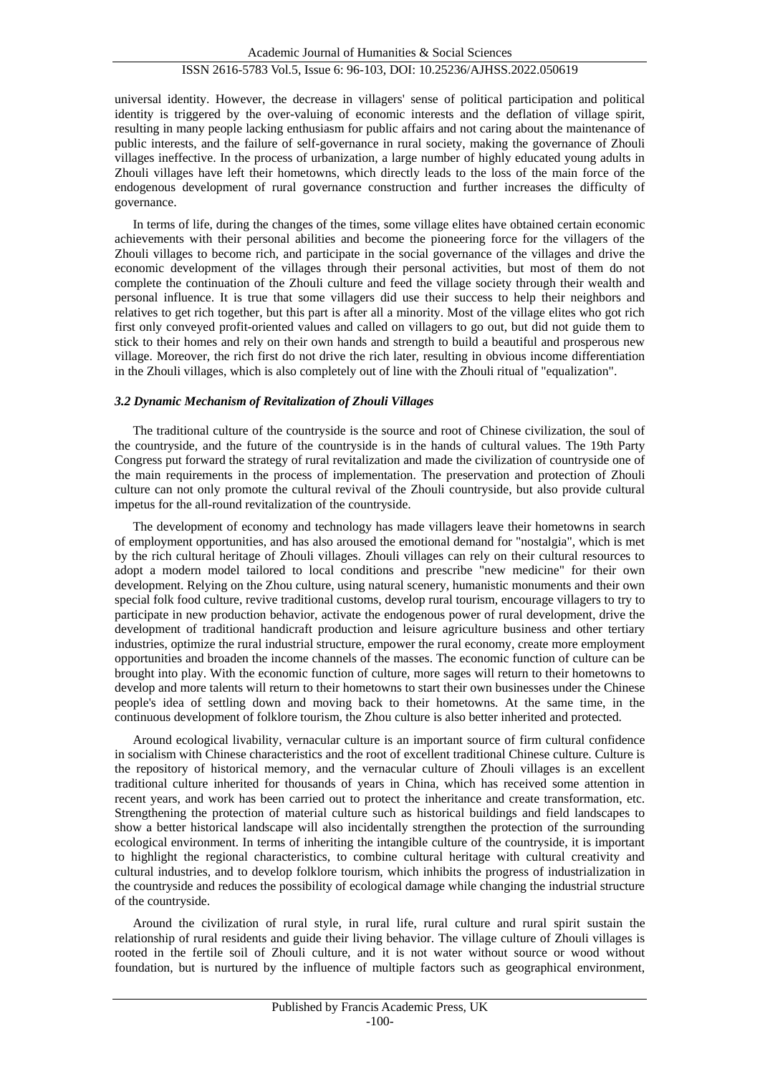universal identity. However, the decrease in villagers' sense of political participation and political identity is triggered by the over-valuing of economic interests and the deflation of village spirit, resulting in many people lacking enthusiasm for public affairs and not caring about the maintenance of public interests, and the failure of self-governance in rural society, making the governance of Zhouli villages ineffective. In the process of urbanization, a large number of highly educated young adults in Zhouli villages have left their hometowns, which directly leads to the loss of the main force of the endogenous development of rural governance construction and further increases the difficulty of governance.

In terms of life, during the changes of the times, some village elites have obtained certain economic achievements with their personal abilities and become the pioneering force for the villagers of the Zhouli villages to become rich, and participate in the social governance of the villages and drive the economic development of the villages through their personal activities, but most of them do not complete the continuation of the Zhouli culture and feed the village society through their wealth and personal influence. It is true that some villagers did use their success to help their neighbors and relatives to get rich together, but this part is after all a minority. Most of the village elites who got rich first only conveyed profit-oriented values and called on villagers to go out, but did not guide them to stick to their homes and rely on their own hands and strength to build a beautiful and prosperous new village. Moreover, the rich first do not drive the rich later, resulting in obvious income differentiation in the Zhouli villages, which is also completely out of line with the Zhouli ritual of "equalization".

#### *3.2 Dynamic Mechanism of Revitalization of Zhouli Villages*

The traditional culture of the countryside is the source and root of Chinese civilization, the soul of the countryside, and the future of the countryside is in the hands of cultural values. The 19th Party Congress put forward the strategy of rural revitalization and made the civilization of countryside one of the main requirements in the process of implementation. The preservation and protection of Zhouli culture can not only promote the cultural revival of the Zhouli countryside, but also provide cultural impetus for the all-round revitalization of the countryside.

The development of economy and technology has made villagers leave their hometowns in search of employment opportunities, and has also aroused the emotional demand for "nostalgia", which is met by the rich cultural heritage of Zhouli villages. Zhouli villages can rely on their cultural resources to adopt a modern model tailored to local conditions and prescribe "new medicine" for their own development. Relying on the Zhou culture, using natural scenery, humanistic monuments and their own special folk food culture, revive traditional customs, develop rural tourism, encourage villagers to try to participate in new production behavior, activate the endogenous power of rural development, drive the development of traditional handicraft production and leisure agriculture business and other tertiary industries, optimize the rural industrial structure, empower the rural economy, create more employment opportunities and broaden the income channels of the masses. The economic function of culture can be brought into play. With the economic function of culture, more sages will return to their hometowns to develop and more talents will return to their hometowns to start their own businesses under the Chinese people's idea of settling down and moving back to their hometowns. At the same time, in the continuous development of folklore tourism, the Zhou culture is also better inherited and protected.

Around ecological livability, vernacular culture is an important source of firm cultural confidence in socialism with Chinese characteristics and the root of excellent traditional Chinese culture. Culture is the repository of historical memory, and the vernacular culture of Zhouli villages is an excellent traditional culture inherited for thousands of years in China, which has received some attention in recent years, and work has been carried out to protect the inheritance and create transformation, etc. Strengthening the protection of material culture such as historical buildings and field landscapes to show a better historical landscape will also incidentally strengthen the protection of the surrounding ecological environment. In terms of inheriting the intangible culture of the countryside, it is important to highlight the regional characteristics, to combine cultural heritage with cultural creativity and cultural industries, and to develop folklore tourism, which inhibits the progress of industrialization in the countryside and reduces the possibility of ecological damage while changing the industrial structure of the countryside.

Around the civilization of rural style, in rural life, rural culture and rural spirit sustain the relationship of rural residents and guide their living behavior. The village culture of Zhouli villages is rooted in the fertile soil of Zhouli culture, and it is not water without source or wood without foundation, but is nurtured by the influence of multiple factors such as geographical environment,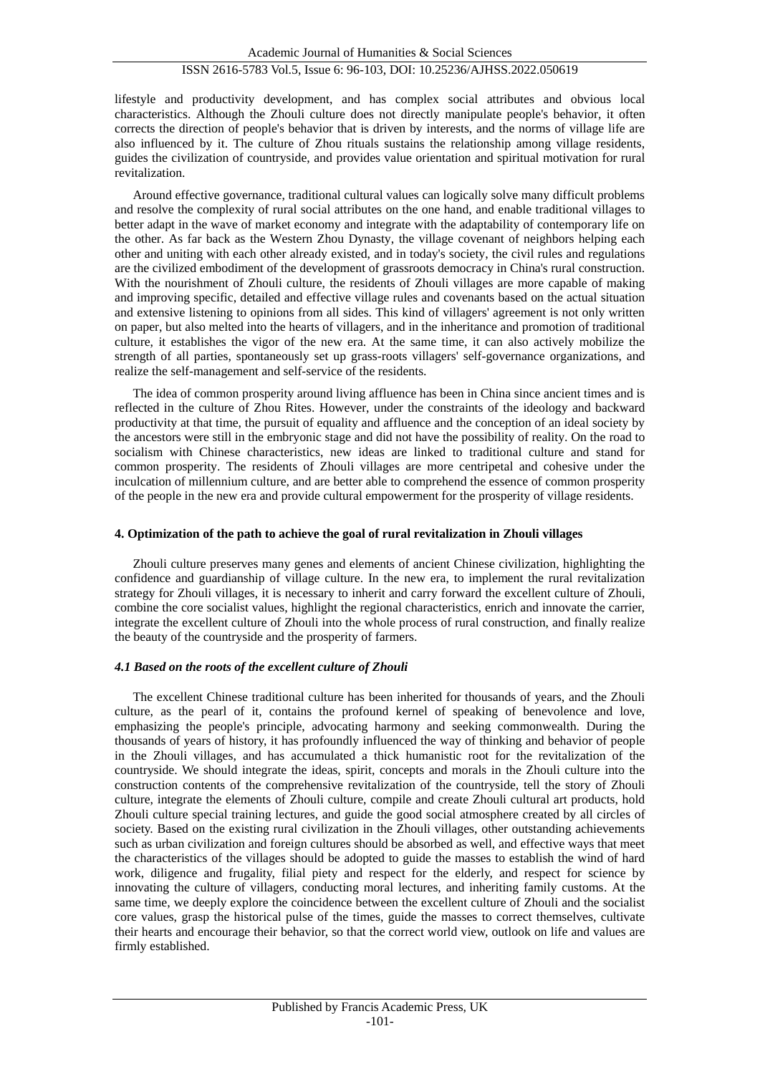lifestyle and productivity development, and has complex social attributes and obvious local characteristics. Although the Zhouli culture does not directly manipulate people's behavior, it often corrects the direction of people's behavior that is driven by interests, and the norms of village life are also influenced by it. The culture of Zhou rituals sustains the relationship among village residents, guides the civilization of countryside, and provides value orientation and spiritual motivation for rural revitalization.

Around effective governance, traditional cultural values can logically solve many difficult problems and resolve the complexity of rural social attributes on the one hand, and enable traditional villages to better adapt in the wave of market economy and integrate with the adaptability of contemporary life on the other. As far back as the Western Zhou Dynasty, the village covenant of neighbors helping each other and uniting with each other already existed, and in today's society, the civil rules and regulations are the civilized embodiment of the development of grassroots democracy in China's rural construction. With the nourishment of Zhouli culture, the residents of Zhouli villages are more capable of making and improving specific, detailed and effective village rules and covenants based on the actual situation and extensive listening to opinions from all sides. This kind of villagers' agreement is not only written on paper, but also melted into the hearts of villagers, and in the inheritance and promotion of traditional culture, it establishes the vigor of the new era. At the same time, it can also actively mobilize the strength of all parties, spontaneously set up grass-roots villagers' self-governance organizations, and realize the self-management and self-service of the residents.

The idea of common prosperity around living affluence has been in China since ancient times and is reflected in the culture of Zhou Rites. However, under the constraints of the ideology and backward productivity at that time, the pursuit of equality and affluence and the conception of an ideal society by the ancestors were still in the embryonic stage and did not have the possibility of reality. On the road to socialism with Chinese characteristics, new ideas are linked to traditional culture and stand for common prosperity. The residents of Zhouli villages are more centripetal and cohesive under the inculcation of millennium culture, and are better able to comprehend the essence of common prosperity of the people in the new era and provide cultural empowerment for the prosperity of village residents.

#### **4. Optimization of the path to achieve the goal of rural revitalization in Zhouli villages**

Zhouli culture preserves many genes and elements of ancient Chinese civilization, highlighting the confidence and guardianship of village culture. In the new era, to implement the rural revitalization strategy for Zhouli villages, it is necessary to inherit and carry forward the excellent culture of Zhouli, combine the core socialist values, highlight the regional characteristics, enrich and innovate the carrier, integrate the excellent culture of Zhouli into the whole process of rural construction, and finally realize the beauty of the countryside and the prosperity of farmers.

### *4.1 Based on the roots of the excellent culture of Zhouli*

The excellent Chinese traditional culture has been inherited for thousands of years, and the Zhouli culture, as the pearl of it, contains the profound kernel of speaking of benevolence and love, emphasizing the people's principle, advocating harmony and seeking commonwealth. During the thousands of years of history, it has profoundly influenced the way of thinking and behavior of people in the Zhouli villages, and has accumulated a thick humanistic root for the revitalization of the countryside. We should integrate the ideas, spirit, concepts and morals in the Zhouli culture into the construction contents of the comprehensive revitalization of the countryside, tell the story of Zhouli culture, integrate the elements of Zhouli culture, compile and create Zhouli cultural art products, hold Zhouli culture special training lectures, and guide the good social atmosphere created by all circles of society. Based on the existing rural civilization in the Zhouli villages, other outstanding achievements such as urban civilization and foreign cultures should be absorbed as well, and effective ways that meet the characteristics of the villages should be adopted to guide the masses to establish the wind of hard work, diligence and frugality, filial piety and respect for the elderly, and respect for science by innovating the culture of villagers, conducting moral lectures, and inheriting family customs. At the same time, we deeply explore the coincidence between the excellent culture of Zhouli and the socialist core values, grasp the historical pulse of the times, guide the masses to correct themselves, cultivate their hearts and encourage their behavior, so that the correct world view, outlook on life and values are firmly established.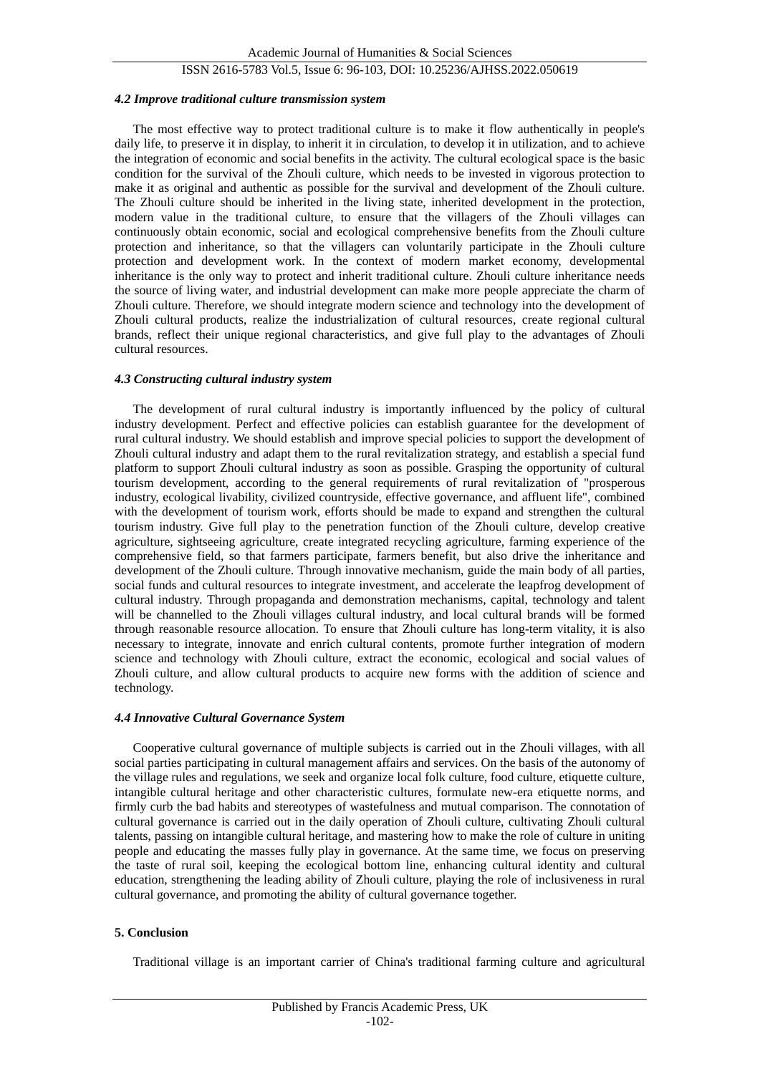#### *4.2 Improve traditional culture transmission system*

The most effective way to protect traditional culture is to make it flow authentically in people's daily life, to preserve it in display, to inherit it in circulation, to develop it in utilization, and to achieve the integration of economic and social benefits in the activity. The cultural ecological space is the basic condition for the survival of the Zhouli culture, which needs to be invested in vigorous protection to make it as original and authentic as possible for the survival and development of the Zhouli culture. The Zhouli culture should be inherited in the living state, inherited development in the protection, modern value in the traditional culture, to ensure that the villagers of the Zhouli villages can continuously obtain economic, social and ecological comprehensive benefits from the Zhouli culture protection and inheritance, so that the villagers can voluntarily participate in the Zhouli culture protection and development work. In the context of modern market economy, developmental inheritance is the only way to protect and inherit traditional culture. Zhouli culture inheritance needs the source of living water, and industrial development can make more people appreciate the charm of Zhouli culture. Therefore, we should integrate modern science and technology into the development of Zhouli cultural products, realize the industrialization of cultural resources, create regional cultural brands, reflect their unique regional characteristics, and give full play to the advantages of Zhouli cultural resources.

#### *4.3 Constructing cultural industry system*

The development of rural cultural industry is importantly influenced by the policy of cultural industry development. Perfect and effective policies can establish guarantee for the development of rural cultural industry. We should establish and improve special policies to support the development of Zhouli cultural industry and adapt them to the rural revitalization strategy, and establish a special fund platform to support Zhouli cultural industry as soon as possible. Grasping the opportunity of cultural tourism development, according to the general requirements of rural revitalization of "prosperous industry, ecological livability, civilized countryside, effective governance, and affluent life", combined with the development of tourism work, efforts should be made to expand and strengthen the cultural tourism industry. Give full play to the penetration function of the Zhouli culture, develop creative agriculture, sightseeing agriculture, create integrated recycling agriculture, farming experience of the comprehensive field, so that farmers participate, farmers benefit, but also drive the inheritance and development of the Zhouli culture. Through innovative mechanism, guide the main body of all parties, social funds and cultural resources to integrate investment, and accelerate the leapfrog development of cultural industry. Through propaganda and demonstration mechanisms, capital, technology and talent will be channelled to the Zhouli villages cultural industry, and local cultural brands will be formed through reasonable resource allocation. To ensure that Zhouli culture has long-term vitality, it is also necessary to integrate, innovate and enrich cultural contents, promote further integration of modern science and technology with Zhouli culture, extract the economic, ecological and social values of Zhouli culture, and allow cultural products to acquire new forms with the addition of science and technology.

#### *4.4 Innovative Cultural Governance System*

Cooperative cultural governance of multiple subjects is carried out in the Zhouli villages, with all social parties participating in cultural management affairs and services. On the basis of the autonomy of the village rules and regulations, we seek and organize local folk culture, food culture, etiquette culture, intangible cultural heritage and other characteristic cultures, formulate new-era etiquette norms, and firmly curb the bad habits and stereotypes of wastefulness and mutual comparison. The connotation of cultural governance is carried out in the daily operation of Zhouli culture, cultivating Zhouli cultural talents, passing on intangible cultural heritage, and mastering how to make the role of culture in uniting people and educating the masses fully play in governance. At the same time, we focus on preserving the taste of rural soil, keeping the ecological bottom line, enhancing cultural identity and cultural education, strengthening the leading ability of Zhouli culture, playing the role of inclusiveness in rural cultural governance, and promoting the ability of cultural governance together.

### **5. Conclusion**

Traditional village is an important carrier of China's traditional farming culture and agricultural